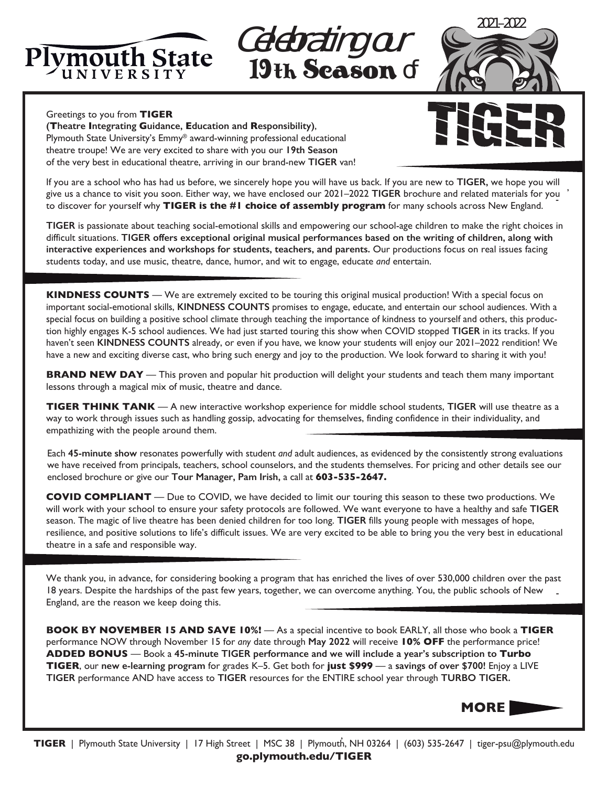

 19th Season of Celebrating our



## Greetings to you from **TIGER**

**(Theatre Integrating Guidance, Education and Responsibility)**, Plymouth State University's Emmy® award-winning professional educational theatre troupe! We are very excited to share with you our **19th Season** of the very best in educational theatre, arriving in our brand-new **TIGER** van!

,

If you are a school who has had us before, we sincerely hope you will have us back. If you are new to **TIGER,** we hope you will give us a chance to visit you soon. Either way, we have enclosed our 2021–2022 **TIGER** brochure and related materials for you to discover for yourself why **TIGER is the #1 choice of assembly program** for many schools across New England.

**TIGER** is passionate about teaching social-emotional skills and empowering our school-age children to make the right choices in difficult situations. **TIGER offers exceptional original musical performances based on the writing of children, along with interactive experiences and workshops for students, teachers, and parents.** Our productions focus on real issues facing students today, and use music, theatre, dance, humor, and wit to engage, educate *and* entertain.

**KINDNESS COUNTS** — We are extremely excited to be touring this original musical production! With a special focus on important social-emotional skills, **KINDNESS COUNTS** promises to engage, educate, and entertain our school audiences. With a special focus on building a positive school climate through teaching the importance of kindness to yourself and others, this production highly engages K-5 school audiences. We had just started touring this show when COVID stopped **TIGER** in its tracks. If you haven't seen **KINDNESS COUNTS** already, or even if you have, we know your students will enjoy our 2021–2022 rendition! We have a new and exciting diverse cast, who bring such energy and joy to the production. We look forward to sharing it with you!

**BRAND NEW DAY** — This proven and popular hit production will delight your students and teach them many important lessons through a magical mix of music, theatre and dance.

**TIGER THINK TANK** — A new interactive workshop experience for middle school students, **TIGER** will use theatre as a way to work through issues such as handling gossip, advocating for themselves, finding confidence in their individuality, and empathizing with the people around them.

Each **45-minute show** resonates powerfully with student *and* adult audiences, as evidenced by the consistently strong evaluations we have received from principals, teachers, school counselors, and the students themselves. For pricing and other details see our enclosed brochure or give our **Tour Manager, Pam Irish,** a call at **603-535-2647.**

**COVID COMPLIANT** — Due to COVID, we have decided to limit our touring this season to these two productions. We will work with your school to ensure your safety protocols are followed. We want everyone to have a healthy and safe **TIGER** season. The magic of live theatre has been denied children for too long. **TIGER** fills young people with messages of hope, resilience, and positive solutions to life's difficult issues. We are very excited to be able to bring you the very best in educational theatre in a safe and responsible way.

We thank you, in advance, for considering booking a program that has enriched the lives of over 530,000 children over the past 18 years. Despite the hardships of the past few years, together, we can overcome anything. You, the public schools of New - England, are the reason we keep doing this.

**BOOK BY NOVEMBER 15 AND SAVE 10%!** — As a special incentive to book EARLY, all those who book a **TIGER** performance NOW through November 15 for *any* date through **May 2022** will receive **10% OFF** the performance price! **ADDED BONUS** — Book a **45-minute TIGER performance and we will include a year's subscription to Turbo TIGER**, our **new e-learning program** for grades K–5. Get both for **just \$999** — a **savings of over \$700!** Enjoy a LIVE **TIGER** performance AND have access to **TIGER** resources for the ENTIRE school year through **TURBO TIGER.**